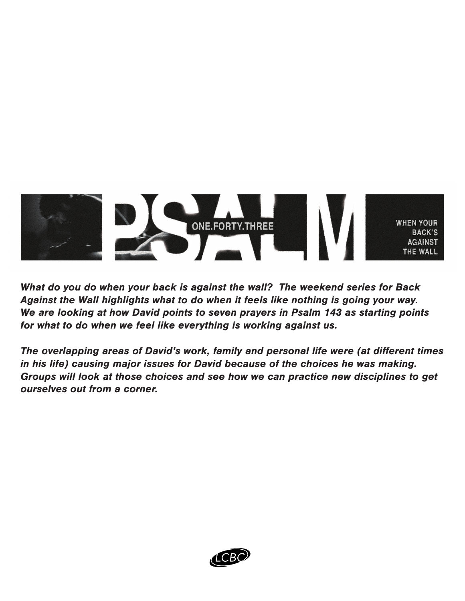

What do you do when your back is against the wall? The weekend series for Back Against the Wall highlights what to do when it feels like nothing is going your way. We are looking at how David points to seven prayers in Psalm 143 as starting points for what to do when we feel like everything is working against us.

The overlapping areas of David's work, family and personal life were (at different times in his life) causing major issues for David because of the choices he was making. Groups will look at those choices and see how we can practice new disciplines to get ourselves out from a corner.